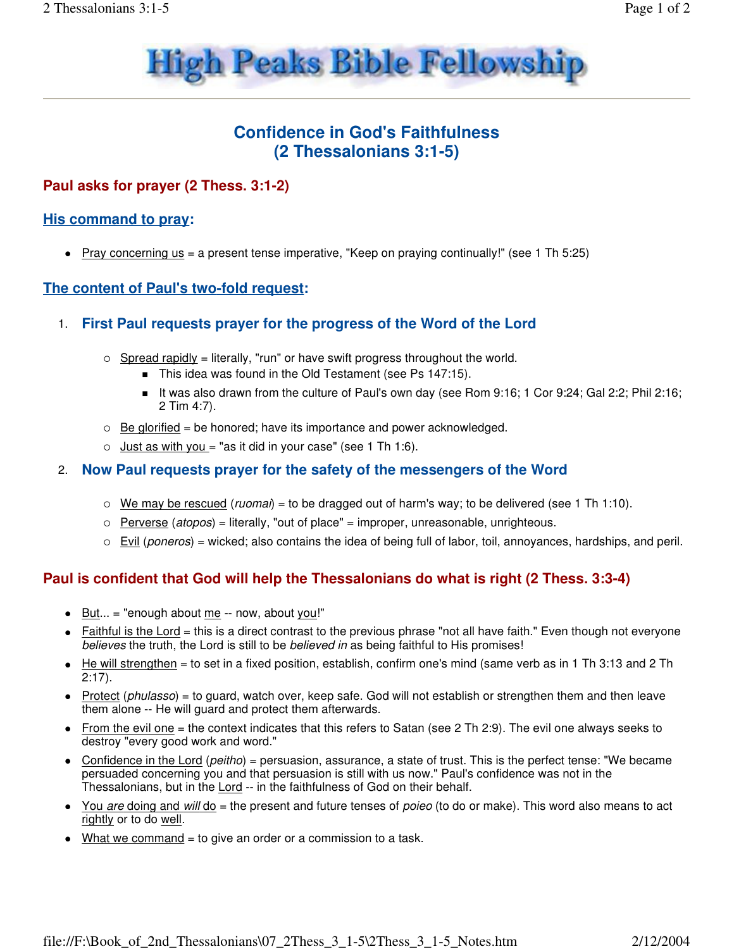

# **Confidence in God's Faithfulness (2 Thessalonians 3:1-5)**

### **Paul asks for prayer (2 Thess. 3:1-2)**

#### **His command to pray:**

Pray concerning us = a present tense imperative, "Keep on praying continually!" (see 1 Th 5:25)

#### **The content of Paul's two-fold request:**

#### 1. **First Paul requests prayer for the progress of the Word of the Lord**

- $\circ$  Spread rapidly = literally, "run" or have swift progress throughout the world.
	- This idea was found in the Old Testament (see Ps 147:15).
	- It was also drawn from the culture of Paul's own day (see Rom 9:16; 1 Cor 9:24; Gal 2:2; Phil 2:16; 2 Tim 4:7).
- $\circ$  Be glorified = be honored; have its importance and power acknowledged.
- $\circ$  Just as with you = "as it did in your case" (see 1 Th 1:6).

#### 2. **Now Paul requests prayer for the safety of the messengers of the Word**

- $\circ$  We may be rescued (ruomai) = to be dragged out of harm's way; to be delivered (see 1 Th 1:10).
- Perverse (atopos) = literally, "out of place" = improper, unreasonable, unrighteous.
- $\circ$  Evil (poneros) = wicked; also contains the idea of being full of labor, toil, annoyances, hardships, and peril.

#### **Paul is confident that God will help the Thessalonians do what is right (2 Thess. 3:3-4)**

- $\bullet$  But... = "enough about me -- now, about you!"
- Faithful is the Lord = this is a direct contrast to the previous phrase "not all have faith." Even though not everyone believes the truth, the Lord is still to be believed in as being faithful to His promises!
- $\bullet$  He will strengthen = to set in a fixed position, establish, confirm one's mind (same verb as in 1 Th 3:13 and 2 Th 2:17).
- Protect (phulasso) = to guard, watch over, keep safe. God will not establish or strengthen them and then leave them alone -- He will guard and protect them afterwards.
- From the evil one = the context indicates that this refers to Satan (see 2 Th 2:9). The evil one always seeks to destroy "every good work and word."
- Confidence in the Lord (peitho) = persuasion, assurance, a state of trust. This is the perfect tense: "We became persuaded concerning you and that persuasion is still with us now." Paul's confidence was not in the Thessalonians, but in the Lord -- in the faithfulness of God on their behalf.
- You are doing and will do = the present and future tenses of poieo (to do or make). This word also means to act rightly or to do well.
- $\bullet$  What we command = to give an order or a commission to a task.